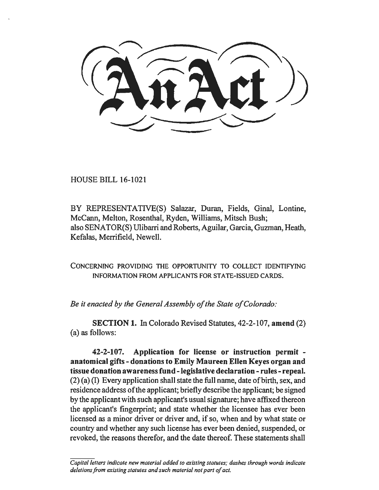HOUSE BILL 16-1021

BY REPRESENTATIVE(S) Salazar, Duran, Fields, Ginal, Lontine, McCann, Melton, Rosenthal, Ryden, Williams, Mitsch Bush; also SENATOR(S) Ulibarri and Roberts, Aguilar, Garcia, Guzman, Heath, Kefalas, Merrifield, Newell.

CONCERNING PROVIDING THE OPPORTUNITY TO COLLECT IDENTIFYING INFORMATION FROM APPLICANTS FOR STATE-ISSUED CARDS.

*Be it enacted by the General Assembly of the State of Colorado:* 

SECTION 1. In Colorado Revised Statutes, 42-2-107, amend (2) (a) as follows:

42-2-107. Application for license or instruction permit anatomical gifts - donations to Emily Maureen Ellen Keyes organ and tissue donation awareness fund - legislative declaration - rules - repeal. (2) (a) (I) Every application shall state the full name, date of birth, sex, and residence address of the applicant; briefly describe the applicant; be signed by the applicant with such applicant's usual signature; have affixed thereon the applicant's fingerprint; and state whether the licensee has ever been licensed as a minor driver or driver and, if so, when and by what state or country and whether any such license has ever been denied, suspended, or revoked, the reasons therefor, and the date thereof. These statements shall

*Capital letters indicate new material added to existing statutes; dashes through words indicate deletions from existing statutes and such material not part of act.*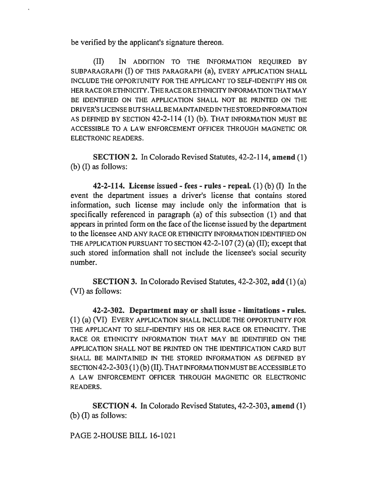be verified by the applicant's signature thereon.

(II) IN ADDITION TO THE INFORMATION REQUIRED BY SUBPARAGRAPH (I) OF THIS PARAGRAPH (a), EVERY APPLICATION SHALL INCLUDE THE OPPORTUNITY FOR THE APPLICANT TO SELF-IDENTIFY HIS OR HER RACE OR ETHNICITY. THE RACE OR ETHNICITY INFORMATION THAT MAY BE IDENTIFIED ON THE APPLICATION SHALL NOT BE PRINTED ON THE DRIVER'SLICENSEBUTSHALLBEMAINTAINEDINTHESTOREDINFORMATION AS DEFINED BY SECTION 42-2-114 (1) (b). THAT INFORMATION MUST BE ACCESSIBLE TO A LAW ENFORCEMENT OFFICER THROUGH MAGNETIC OR ELECTRONIC READERS.

SECTION 2. In Colorado Revised Statutes, 42-2-114, amend (1) (b) (I) as follows:

42-2-114. License issued - fees - rules - repeal.  $(1)$  (b)  $(1)$  In the event the department issues a driver's license that contains stored information, such license may include only the information that is specifically referenced in paragraph (a) of this subsection (1) and that appears in printed form on the face of the license issued by the department to the licensee AND ANY RACE OR ETHNICITY INFORMATION IDENTIFIED ON THE APPLICATION PURSUANT TO SECTION 42-2-107 (2) (a) (II); except that such stored information shall not include the licensee's social security number.

SECTION 3. In Colorado Revised Statutes, 42-2-302, add (1) (a) (VI) as follows:

42-2-302. Department may or shall issue - limitations - rules. (1) (a) (VI) EVERY APPLICATION SHALL INCLUDE THE OPPORTUNITY FOR THE APPLICANT TO SELF-IDENTIFY HIS OR HER RACE OR ETHNICITY. THE RACE OR ETHNICITY INFORMATION THAT MAY BE IDENTIFIED ON THE APPLICATION SHALL NOT BE PRINTED ON THE IDENTIFJCA TION CARD BUT SHALL BE MAINTAINED IN THE STORED INFORMATION AS DEFINED BY SECTION 42-2-303 (1) (b) (II). THAT INFORMATION MUST BE ACCESSIBLE TO A LAW ENFORCEMENT OFFICER THROUGH MAGNETIC OR ELECTRONIC READERS.

SECTION 4. In Colorado Revised Statutes, 42-2-303, amend (1) (b) (I) as follows:

PAGE 2-HOUSE BILL 16-1021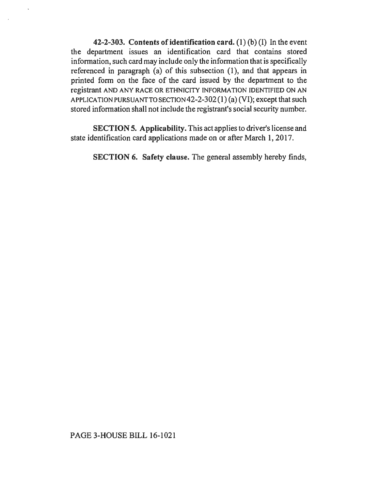42-2-303. Contents of identification card.  $(1)(b)(I)$  In the event the department issues an identification card that contains stored information, such card may include only the information that is specifically referenced in paragraph (a) of this subsection (1), and that appears in printed form on the face of the card issued by the department to the registrant AND ANY RACE OR ETHNICITY INFORMATION IDENTIFIED ON AN APPLICATION PURSUANT TO SECTION 42-2-302 (1) (a) (VI); except that such stored information shall not include the registrant's social security number.

SECTION 5. Applicability. This act applies to driver's license and state identification card applications made on or after March 1, 2017.

SECTION 6. Safety clause. The general assembly hereby finds,